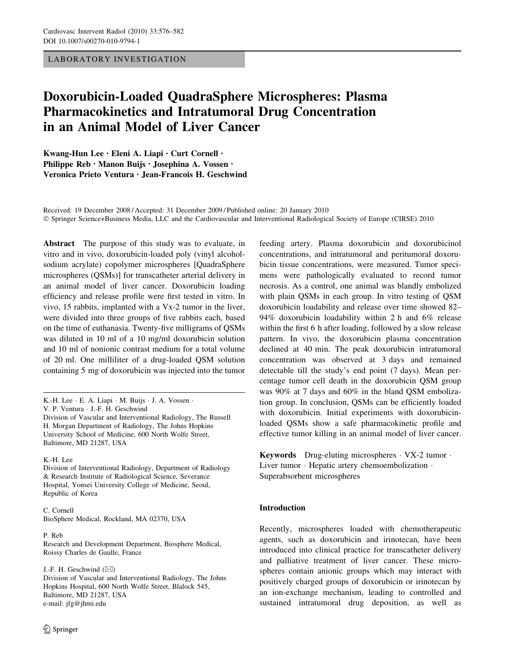LABORATORY INVESTIGATION

# Doxorubicin-Loaded QuadraSphere Microspheres: Plasma Pharmacokinetics and Intratumoral Drug Concentration in an Animal Model of Liver Cancer

Kwang-Hun Lee • Eleni A. Liapi • Curt Cornell • Philippe Reb • Manon Buijs • Josephina A. Vossen • Veronica Prieto Ventura • Jean-Francois H. Geschwind

Received: 19 December 2008 / Accepted: 31 December 2009 / Published online: 20 January 2010 - Springer Science+Business Media, LLC and the Cardiovascular and Interventional Radiological Society of Europe (CIRSE) 2010

Abstract The purpose of this study was to evaluate, in vitro and in vivo, doxorubicin-loaded poly (vinyl alcoholsodium acrylate) copolymer microspheres [QuadraSphere microspheres (QSMs)] for transcatheter arterial delivery in an animal model of liver cancer. Doxorubicin loading efficiency and release profile were first tested in vitro. In vivo, 15 rabbits, implanted with a Vx-2 tumor in the liver, were divided into three groups of five rabbits each, based on the time of euthanasia. Twenty-five milligrams of QSMs was diluted in 10 ml of a 10 mg/ml doxorubicin solution and 10 ml of nonionic contrast medium for a total volume of 20 ml. One milliliter of a drug-loaded QSM solution containing 5 mg of doxorubicin was injected into the tumor

K.-H. Lee

C. Cornell BioSphere Medical, Rockland, MA 02370, USA

P. Reb

Research and Development Department, Biosphere Medical, Roissy Charles de Gaulle, France

J.-F. H. Geschwind  $(\boxtimes)$ 

Division of Vascular and Interventional Radiology, The Johns Hopkins Hospital, 600 North Wolfe Street, Blalock 545, Baltimore, MD 21287, USA e-mail: jfg@jhmi.edu

feeding artery. Plasma doxorubicin and doxorubicinol concentrations, and intratumoral and peritumoral doxorubicin tissue concentrations, were measured. Tumor specimens were pathologically evaluated to record tumor necrosis. As a control, one animal was blandly embolized with plain QSMs in each group. In vitro testing of QSM doxorubicin loadability and release over time showed 82– 94% doxorubicin loadability within 2 h and 6% release within the first 6 h after loading, followed by a slow release pattern. In vivo, the doxorubicin plasma concentration declined at 40 min. The peak doxorubicin intratumoral concentration was observed at 3 days and remained detectable till the study's end point (7 days). Mean percentage tumor cell death in the doxorubicin QSM group was 90% at 7 days and 60% in the bland QSM embolization group. In conclusion, QSMs can be efficiently loaded with doxorubicin. Initial experiments with doxorubicinloaded QSMs show a safe pharmacokinetic profile and effective tumor killing in an animal model of liver cancer.

Keywords Drug-eluting microspheres - VX-2 tumor - Liver tumor · Hepatic artery chemoembolization · Superabsorbent microspheres

# Introduction

Recently, microspheres loaded with chemotherapeutic agents, such as doxorubicin and irinotecan, have been introduced into clinical practice for transcatheter delivery and palliative treatment of liver cancer. These microspheres contain anionic groups which may interact with positively charged groups of doxorubicin or irinotecan by an ion-exchange mechanism, leading to controlled and sustained intratumoral drug deposition, as well as

K.-H. Lee · E. A. Liapi · M. Buijs · J. A. Vossen · V. P. Ventura - J.-F. H. Geschwind Division of Vascular and Interventional Radiology, The Russell H. Morgan Department of Radiology, The Johns Hopkins University School of Medicine, 600 North Wolfe Street, Baltimore, MD 21287, USA

Division of Interventional Radiology, Department of Radiology & Research Institute of Radiological Science, Severance Hospital, Yonsei University College of Medicine, Seoul, Republic of Korea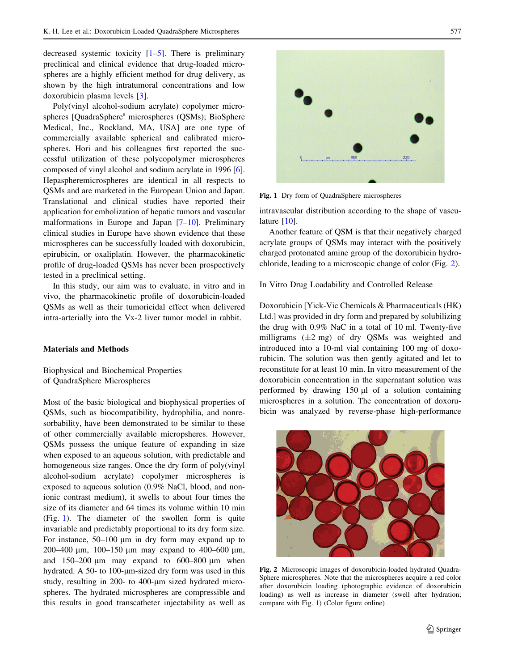decreased systemic toxicity [[1–5](#page-5-0)]. There is preliminary preclinical and clinical evidence that drug-loaded microspheres are a highly efficient method for drug delivery, as shown by the high intratumoral concentrations and low doxorubicin plasma levels [\[3](#page-5-0)].

Poly(vinyl alcohol-sodium acrylate) copolymer microspheres [QuadraSphere<sup>s</sup> microspheres (QSMs); BioSphere Medical, Inc., Rockland, MA, USA] are one type of commercially available spherical and calibrated microspheres. Hori and his colleagues first reported the successful utilization of these polycopolymer microspheres composed of vinyl alcohol and sodium acrylate in 1996 [\[6](#page-6-0)]. Hepaspheremicrospheres are identical in all respects to QSMs and are marketed in the European Union and Japan. Translational and clinical studies have reported their application for embolization of hepatic tumors and vascular malformations in Europe and Japan [\[7–10](#page-6-0)]. Preliminary clinical studies in Europe have shown evidence that these microspheres can be successfully loaded with doxorubicin, epirubicin, or oxaliplatin. However, the pharmacokinetic profile of drug-loaded QSMs has never been prospectively tested in a preclinical setting.

In this study, our aim was to evaluate, in vitro and in vivo, the pharmacokinetic profile of doxorubicin-loaded QSMs as well as their tumoricidal effect when delivered intra-arterially into the Vx-2 liver tumor model in rabbit.

#### Materials and Methods

Biophysical and Biochemical Properties of QuadraSphere Microspheres

Most of the basic biological and biophysical properties of QSMs, such as biocompatibility, hydrophilia, and nonresorbability, have been demonstrated to be similar to these of other commercially available micropsheres. However, QSMs possess the unique feature of expanding in size when exposed to an aqueous solution, with predictable and homogeneous size ranges. Once the dry form of poly(vinyl alcohol-sodium acrylate) copolymer microspheres is exposed to aqueous solution (0.9% NaCl, blood, and nonionic contrast medium), it swells to about four times the size of its diameter and 64 times its volume within 10 min (Fig. 1). The diameter of the swollen form is quite invariable and predictably proportional to its dry form size. For instance,  $50-100 \mu m$  in dry form may expand up to 200–400 μm, 100–150 μm may expand to 400–600 μm, and  $150-200 \mu m$  may expand to  $600-800 \mu m$  when hydrated. A 50- to 100- $\mu$ m-sized dry form was used in this study, resulting in 200- to 400-µm sized hydrated microspheres. The hydrated microspheres are compressible and this results in good transcatheter injectability as well as



Fig. 1 Dry form of QuadraSphere microspheres

intravascular distribution according to the shape of vasculature [[10\]](#page-6-0).

Another feature of QSM is that their negatively charged acrylate groups of QSMs may interact with the positively charged protonated amine group of the doxorubicin hydrochloride, leading to a microscopic change of color (Fig. 2).

In Vitro Drug Loadability and Controlled Release

Doxorubicin [Yick-Vic Chemicals & Pharmaceuticals (HK) Ltd.] was provided in dry form and prepared by solubilizing the drug with 0.9% NaC in a total of 10 ml. Twenty-five milligrams  $(\pm 2 \text{ mg})$  of dry QSMs was weighted and introduced into a 10-ml vial containing 100 mg of doxorubicin. The solution was then gently agitated and let to reconstitute for at least 10 min. In vitro measurement of the doxorubicin concentration in the supernatant solution was performed by drawing  $150 \mu l$  of a solution containing microspheres in a solution. The concentration of doxorubicin was analyzed by reverse-phase high-performance



Fig. 2 Microscopic images of doxorubicin-loaded hydrated Quadra-Sphere microspheres. Note that the microspheres acquire a red color after doxorubicin loading (photographic evidence of doxorubicin loading) as well as increase in diameter (swell after hydration; compare with Fig. 1) (Color figure online)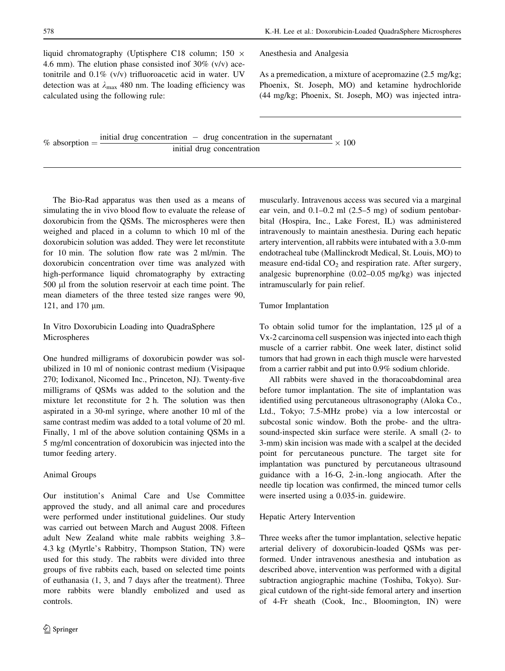liquid chromatography (Uptisphere C18 column;  $150 \times$ 4.6 mm). The elution phase consisted inof  $30\%$  (v/v) acetonitrile and 0.1% (v/v) trifluoroacetic acid in water. UV detection was at  $\lambda_{\text{max}}$  480 nm. The loading efficiency was calculated using the following rule:

Anesthesia and Analgesia

As a premedication, a mixture of acepromazine (2.5 mg/kg; Phoenix, St. Joseph, MO) and ketamine hydrochloride (44 mg/kg; Phoenix, St. Joseph, MO) was injected intra-

% absorption  $=$  initial drug concentration  $-$  drug concentration in the supernatant initial drug concentration  $\times$  100

The Bio-Rad apparatus was then used as a means of simulating the in vivo blood flow to evaluate the release of doxorubicin from the QSMs. The microspheres were then weighed and placed in a column to which 10 ml of the doxorubicin solution was added. They were let reconstitute for 10 min. The solution flow rate was 2 ml/min. The doxorubicin concentration over time was analyzed with high-performance liquid chromatography by extracting 500 µl from the solution reservoir at each time point. The mean diameters of the three tested size ranges were 90, 121, and 170 µm.

In Vitro Doxorubicin Loading into QuadraSphere Microspheres

One hundred milligrams of doxorubicin powder was solubilized in 10 ml of nonionic contrast medium (Visipaque 270; Iodixanol, Nicomed Inc., Princeton, NJ). Twenty-five milligrams of QSMs was added to the solution and the mixture let reconstitute for 2 h. The solution was then aspirated in a 30-ml syringe, where another 10 ml of the same contrast medim was added to a total volume of 20 ml. Finally, 1 ml of the above solution containing QSMs in a 5 mg/ml concentration of doxorubicin was injected into the tumor feeding artery.

## Animal Groups

Our institution's Animal Care and Use Committee approved the study, and all animal care and procedures were performed under institutional guidelines. Our study was carried out between March and August 2008. Fifteen adult New Zealand white male rabbits weighing 3.8– 4.3 kg (Myrtle's Rabbitry, Thompson Station, TN) were used for this study. The rabbits were divided into three groups of five rabbits each, based on selected time points of euthanasia (1, 3, and 7 days after the treatment). Three more rabbits were blandly embolized and used as controls.

muscularly. Intravenous access was secured via a marginal ear vein, and 0.1–0.2 ml (2.5–5 mg) of sodium pentobarbital (Hospira, Inc., Lake Forest, IL) was administered intravenously to maintain anesthesia. During each hepatic artery intervention, all rabbits were intubated with a 3.0-mm endotracheal tube (Mallinckrodt Medical, St. Louis, MO) to measure end-tidal  $CO<sub>2</sub>$  and respiration rate. After surgery, analgesic buprenorphine (0.02–0.05 mg/kg) was injected intramuscularly for pain relief.

Tumor Implantation

To obtain solid tumor for the implantation,  $125 \mu l$  of a Vx-2 carcinoma cell suspension was injected into each thigh muscle of a carrier rabbit. One week later, distinct solid tumors that had grown in each thigh muscle were harvested from a carrier rabbit and put into 0.9% sodium chloride.

All rabbits were shaved in the thoracoabdominal area before tumor implantation. The site of implantation was identified using percutaneous ultrasonography (Aloka Co., Ltd., Tokyo; 7.5-MHz probe) via a low intercostal or subcostal sonic window. Both the probe- and the ultrasound-inspected skin surface were sterile. A small (2- to 3-mm) skin incision was made with a scalpel at the decided point for percutaneous puncture. The target site for implantation was punctured by percutaneous ultrasound guidance with a 16-G, 2-in.-long angiocath. After the needle tip location was confirmed, the minced tumor cells were inserted using a 0.035-in. guidewire.

# Hepatic Artery Intervention

Three weeks after the tumor implantation, selective hepatic arterial delivery of doxorubicin-loaded QSMs was performed. Under intravenous anesthesia and intubation as described above, intervention was performed with a digital subtraction angiographic machine (Toshiba, Tokyo). Surgical cutdown of the right-side femoral artery and insertion of 4-Fr sheath (Cook, Inc., Bloomington, IN) were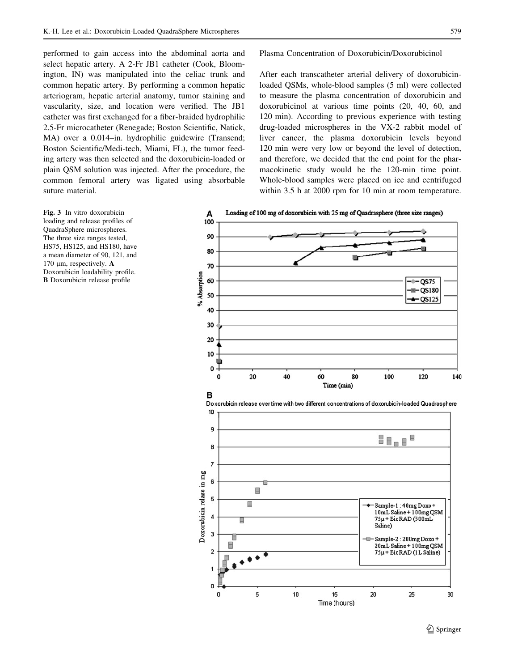<span id="page-3-0"></span>performed to gain access into the abdominal aorta and select hepatic artery. A 2-Fr JB1 catheter (Cook, Bloomington, IN) was manipulated into the celiac trunk and common hepatic artery. By performing a common hepatic arteriogram, hepatic arterial anatomy, tumor staining and vascularity, size, and location were verified. The JB1 catheter was first exchanged for a fiber-braided hydrophilic 2.5-Fr microcatheter (Renegade; Boston Scientific, Natick, MA) over a 0.014–in. hydrophilic guidewire (Transend; Boston Scientific/Medi-tech, Miami, FL), the tumor feeding artery was then selected and the doxorubicin-loaded or plain QSM solution was injected. After the procedure, the common femoral artery was ligated using absorbable suture material.

#### Plasma Concentration of Doxorubicin/Doxorubicinol

After each transcatheter arterial delivery of doxorubicinloaded QSMs, whole-blood samples (5 ml) were collected to measure the plasma concentration of doxorubicin and doxorubicinol at various time points (20, 40, 60, and 120 min). According to previous experience with testing drug-loaded microspheres in the VX-2 rabbit model of liver cancer, the plasma doxorubicin levels beyond 120 min were very low or beyond the level of detection, and therefore, we decided that the end point for the pharmacokinetic study would be the 120-min time point. Whole-blood samples were placed on ice and centrifuged within 3.5 h at 2000 rpm for 10 min at room temperature.







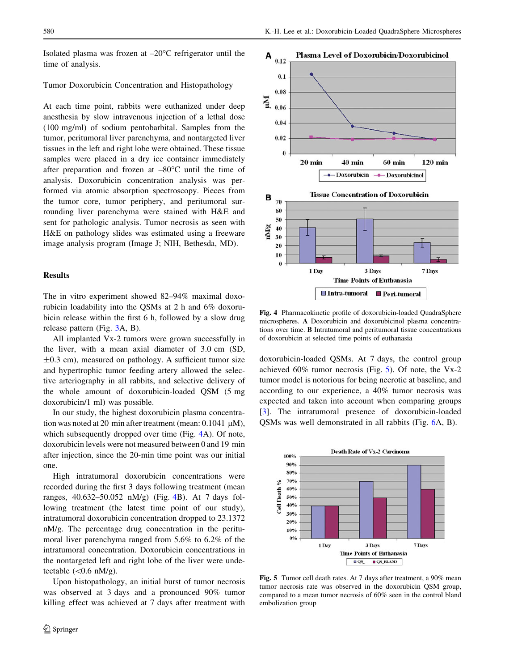Isolated plasma was frozen at  $-20^{\circ}$ C refrigerator until the time of analysis.

### Tumor Doxorubicin Concentration and Histopathology

At each time point, rabbits were euthanized under deep anesthesia by slow intravenous injection of a lethal dose (100 mg/ml) of sodium pentobarbital. Samples from the tumor, peritumoral liver parenchyma, and nontargeted liver tissues in the left and right lobe were obtained. These tissue samples were placed in a dry ice container immediately after preparation and frozen at  $-80^{\circ}$ C until the time of analysis. Doxorubicin concentration analysis was performed via atomic absorption spectroscopy. Pieces from the tumor core, tumor periphery, and peritumoral surrounding liver parenchyma were stained with H&E and sent for pathologic analysis. Tumor necrosis as seen with H&E on pathology slides was estimated using a freeware image analysis program (Image J; NIH, Bethesda, MD).

## **Results**

The in vitro experiment showed 82–94% maximal doxorubicin loadability into the QSMs at 2 h and 6% doxorubicin release within the first 6 h, followed by a slow drug release pattern (Fig. [3A](#page-3-0), B).

All implanted Vx-2 tumors were grown successfully in the liver, with a mean axial diameter of 3.0 cm (SD,  $\pm 0.3$  cm), measured on pathology. A sufficient tumor size and hypertrophic tumor feeding artery allowed the selective arteriography in all rabbits, and selective delivery of the whole amount of doxorubicin-loaded QSM (5 mg doxorubicin/1 ml) was possible.

In our study, the highest doxorubicin plasma concentration was noted at 20 min after treatment (mean:  $0.1041 \mu M$ ), which subsequently dropped over time (Fig. 4A). Of note, doxorubicin levels were not measured between 0 and 19 min after injection, since the 20-min time point was our initial one.

High intratumoral doxorubicin concentrations were recorded during the first 3 days following treatment (mean ranges, 40.632–50.052 nM/g) (Fig. 4B). At 7 days following treatment (the latest time point of our study), intratumoral doxorubicin concentration dropped to 23.1372 nM/g. The percentage drug concentration in the peritumoral liver parenchyma ranged from 5.6% to 6.2% of the intratumoral concentration. Doxorubicin concentrations in the nontargeted left and right lobe of the liver were undetectable  $(<0.6$  nM/g).

Upon histopathology, an initial burst of tumor necrosis was observed at 3 days and a pronounced 90% tumor killing effect was achieved at 7 days after treatment with



Fig. 4 Pharmacokinetic profile of doxorubicin-loaded QuadraSphere microspheres. A Doxorubicin and doxorubicinol plasma concentrations over time. B Intratumoral and peritumoral tissue concentrations of doxorubicin at selected time points of euthanasia

doxorubicin-loaded QSMs. At 7 days, the control group achieved 60% tumor necrosis (Fig. 5). Of note, the Vx-2 tumor model is notorious for being necrotic at baseline, and according to our experience, a 40% tumor necrosis was expected and taken into account when comparing groups [\[3](#page-5-0)]. The intratumoral presence of doxorubicin-loaded QSMs was well demonstrated in all rabbits (Fig. [6](#page-5-0)A, B).



Fig. 5 Tumor cell death rates. At 7 days after treatment, a 90% mean tumor necrosis rate was observed in the doxorubicin QSM group, compared to a mean tumor necrosis of 60% seen in the control bland embolization group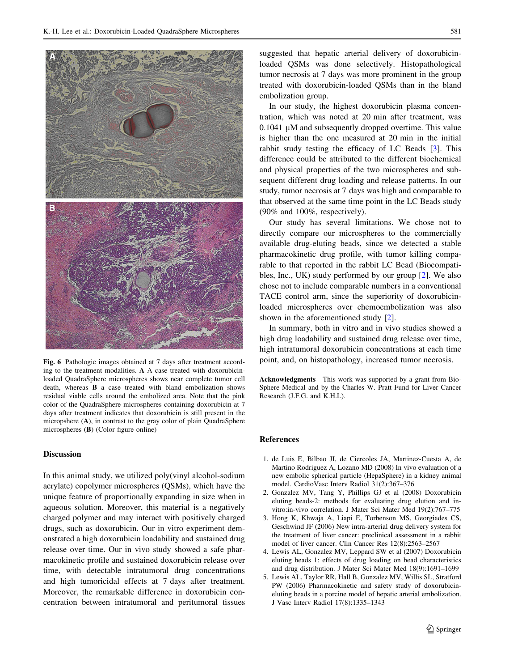<span id="page-5-0"></span>

Fig. 6 Pathologic images obtained at 7 days after treatment according to the treatment modalities. A A case treated with doxorubicinloaded QuadraSphere microspheres shows near complete tumor cell death, whereas B a case treated with bland embolization shows residual viable cells around the embolized area. Note that the pink color of the QuadraSphere microspheres containing doxorubicin at 7 days after treatment indicates that doxorubicin is still present in the micropshere (A), in contrast to the gray color of plain QuadraSphere microspheres (B) (Color figure online)

## Discussion

In this animal study, we utilized poly(vinyl alcohol-sodium acrylate) copolymer microspheres (QSMs), which have the unique feature of proportionally expanding in size when in aqueous solution. Moreover, this material is a negatively charged polymer and may interact with positively charged drugs, such as doxorubicin. Our in vitro experiment demonstrated a high doxorubicin loadability and sustained drug release over time. Our in vivo study showed a safe pharmacokinetic profile and sustained doxorubicin release over time, with detectable intratumoral drug concentrations and high tumoricidal effects at 7 days after treatment. Moreover, the remarkable difference in doxorubicin concentration between intratumoral and peritumoral tissues suggested that hepatic arterial delivery of doxorubicinloaded QSMs was done selectively. Histopathological tumor necrosis at 7 days was more prominent in the group treated with doxorubicin-loaded QSMs than in the bland embolization group.

In our study, the highest doxorubicin plasma concentration, which was noted at 20 min after treatment, was  $0.1041$  µM and subsequently dropped overtime. This value is higher than the one measured at 20 min in the initial rabbit study testing the efficacy of LC Beads [3]. This difference could be attributed to the different biochemical and physical properties of the two microspheres and subsequent different drug loading and release patterns. In our study, tumor necrosis at 7 days was high and comparable to that observed at the same time point in the LC Beads study (90% and 100%, respectively).

Our study has several limitations. We chose not to directly compare our microspheres to the commercially available drug-eluting beads, since we detected a stable pharmacokinetic drug profile, with tumor killing comparable to that reported in the rabbit LC Bead (Biocompatibles, Inc., UK) study performed by our group [2]. We also chose not to include comparable numbers in a conventional TACE control arm, since the superiority of doxorubicinloaded microspheres over chemoembolization was also shown in the aforementioned study [2].

In summary, both in vitro and in vivo studies showed a high drug loadability and sustained drug release over time, high intratumoral doxorubicin concentrations at each time point, and, on histopathology, increased tumor necrosis.

Acknowledgments This work was supported by a grant from Bio-Sphere Medical and by the Charles W. Pratt Fund for Liver Cancer Research (J.F.G. and K.H.L).

# References

- 1. de Luis E, Bilbao JI, de Ciercoles JA, Martinez-Cuesta A, de Martino Rodriguez A, Lozano MD (2008) In vivo evaluation of a new embolic spherical particle (HepaSphere) in a kidney animal model. CardioVasc Interv Radiol 31(2):367–376
- 2. Gonzalez MV, Tang Y, Phillips GJ et al (2008) Doxorubicin eluting beads-2: methods for evaluating drug elution and invitro:in-vivo correlation. J Mater Sci Mater Med 19(2):767–775
- 3. Hong K, Khwaja A, Liapi E, Torbenson MS, Georgiades CS, Geschwind JF (2006) New intra-arterial drug delivery system for the treatment of liver cancer: preclinical assessment in a rabbit model of liver cancer. Clin Cancer Res 12(8):2563–2567
- 4. Lewis AL, Gonzalez MV, Leppard SW et al (2007) Doxorubicin eluting beads 1: effects of drug loading on bead characteristics and drug distribution. J Mater Sci Mater Med 18(9):1691–1699
- 5. Lewis AL, Taylor RR, Hall B, Gonzalez MV, Willis SL, Stratford PW (2006) Pharmacokinetic and safety study of doxorubicineluting beads in a porcine model of hepatic arterial embolization. J Vasc Interv Radiol 17(8):1335–1343